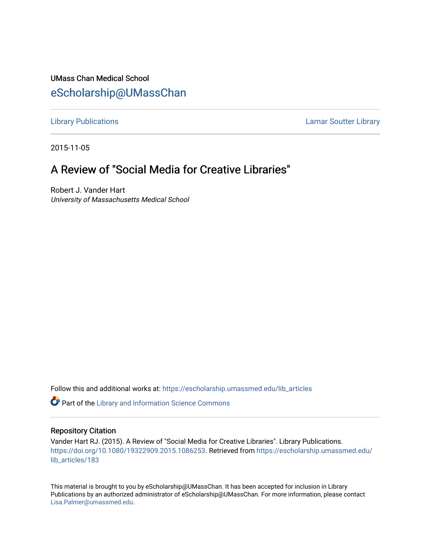## UMass Chan Medical School [eScholarship@UMassChan](https://escholarship.umassmed.edu/)

[Library Publications](https://escholarship.umassmed.edu/lib_articles) [Lamar Soutter Library](https://escholarship.umassmed.edu/library) 

2015-11-05

## A Review of "Social Media for Creative Libraries"

Robert J. Vander Hart University of Massachusetts Medical School

Follow this and additional works at: [https://escholarship.umassmed.edu/lib\\_articles](https://escholarship.umassmed.edu/lib_articles?utm_source=escholarship.umassmed.edu%2Flib_articles%2F183&utm_medium=PDF&utm_campaign=PDFCoverPages) 

**C** Part of the Library and Information Science Commons

## Repository Citation

Vander Hart RJ. (2015). A Review of "Social Media for Creative Libraries". Library Publications. [https://doi.org/10.1080/19322909.2015.1086253.](https://doi.org/10.1080/19322909.2015.1086253) Retrieved from [https://escholarship.umassmed.edu/](https://escholarship.umassmed.edu/lib_articles/183?utm_source=escholarship.umassmed.edu%2Flib_articles%2F183&utm_medium=PDF&utm_campaign=PDFCoverPages) [lib\\_articles/183](https://escholarship.umassmed.edu/lib_articles/183?utm_source=escholarship.umassmed.edu%2Flib_articles%2F183&utm_medium=PDF&utm_campaign=PDFCoverPages) 

This material is brought to you by eScholarship@UMassChan. It has been accepted for inclusion in Library Publications by an authorized administrator of eScholarship@UMassChan. For more information, please contact [Lisa.Palmer@umassmed.edu](mailto:Lisa.Palmer@umassmed.edu).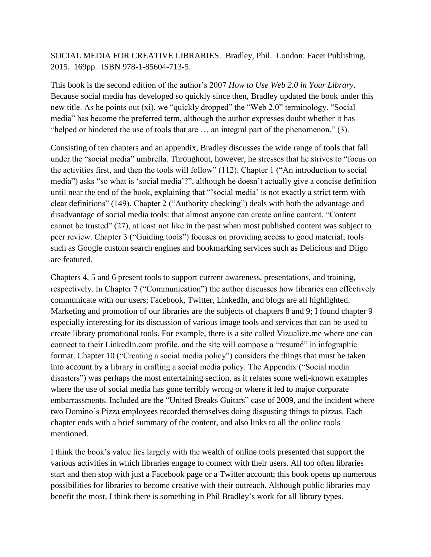## SOCIAL MEDIA FOR CREATIVE LIBRARIES. Bradley, Phil. London: Facet Publishing, 2015. 169pp. ISBN 978-1-85604-713-5.

This book is the second edition of the author's 2007 *How to Use Web 2.0 in Your Library*. Because social media has developed so quickly since then, Bradley updated the book under this new title. As he points out (xi), we "quickly dropped" the "Web 2.0" terminology. "Social media" has become the preferred term, although the author expresses doubt whether it has "helped or hindered the use of tools that are … an integral part of the phenomenon." (3).

Consisting of ten chapters and an appendix, Bradley discusses the wide range of tools that fall under the "social media" umbrella. Throughout, however, he stresses that he strives to "focus on the activities first, and then the tools will follow" (112). Chapter 1 ("An introduction to social media") asks "so what is 'social media'?", although he doesn't actually give a concise definition until near the end of the book, explaining that "'social media' is not exactly a strict term with clear definitions" (149). Chapter 2 ("Authority checking") deals with both the advantage and disadvantage of social media tools: that almost anyone can create online content. "Content cannot be trusted" (27), at least not like in the past when most published content was subject to peer review. Chapter 3 ("Guiding tools") focuses on providing access to good material; tools such as Google custom search engines and bookmarking services such as Delicious and Diigo are featured.

Chapters 4, 5 and 6 present tools to support current awareness, presentations, and training, respectively. In Chapter 7 ("Communication") the author discusses how libraries can effectively communicate with our users; Facebook, Twitter, LinkedIn, and blogs are all highlighted. Marketing and promotion of our libraries are the subjects of chapters 8 and 9; I found chapter 9 especially interesting for its discussion of various image tools and services that can be used to create library promotional tools. For example, there is a site called Vizualize.me where one can connect to their LinkedIn.com profile, and the site will compose a "resumé" in infographic format. Chapter 10 ("Creating a social media policy") considers the things that must be taken into account by a library in crafting a social media policy. The Appendix ("Social media disasters") was perhaps the most entertaining section, as it relates some well-known examples where the use of social media has gone terribly wrong or where it led to major corporate embarrassments. Included are the "United Breaks Guitars" case of 2009, and the incident where two Domino's Pizza employees recorded themselves doing disgusting things to pizzas. Each chapter ends with a brief summary of the content, and also links to all the online tools mentioned.

I think the book's value lies largely with the wealth of online tools presented that support the various activities in which libraries engage to connect with their users. All too often libraries start and then stop with just a Facebook page or a Twitter account; this book opens up numerous possibilities for libraries to become creative with their outreach. Although public libraries may benefit the most, I think there is something in Phil Bradley's work for all library types.